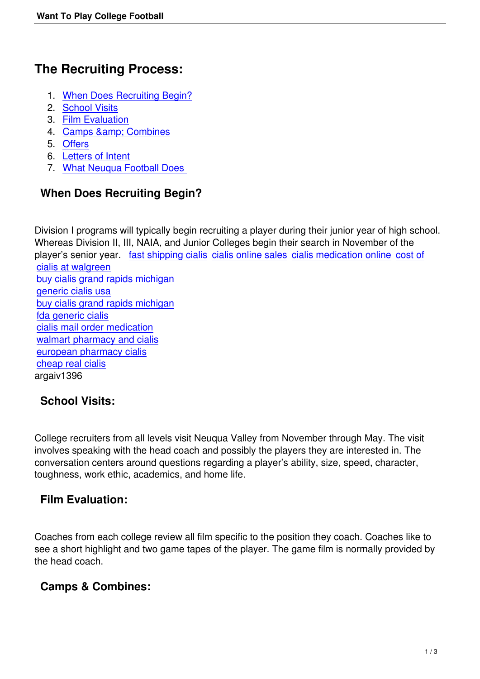# **The Recruiting Process:**

- 1. When Does Recruiting Begin?
- 2. School Visits
- 3. Film Evaluation
- 4. Camps & amp; Combines
- 5. [Offers](#school_visits)
- 6. [Letters of Intent](#film_eval)
- 7. [What Neuqua Football Do](#camps)es

## **Wh[en Does Recr](#LoI)uiting Begin?**

Division I programs will typically begin recruiting a player during their junior year of high school. Whereas Division II, III, NAIA, and Junior Colleges begin their search in November of the player's senior year. fast shipping cialis cialis online sales cialis medication online cost of cialis at walgreen buy cialis grand rapids michigan generic cialis usa [buy cialis grand ra](http://paddleblogs.com/cost-of-cialis-at-walgreen/)pid[s michigan](http://syncordia.com.au/fast-shipping-cialis/) [fda generic cialis](http://sofccanada.com/buy-cialis-grand-rapids-michigan/) [cialis mail order m](http://hostmaster.lasiniciativas.com/generic-cialis-usa/)edication [walmart pharmacy and cialis](http://drupal.hea.ie/buy-cialis-grand-rapids-michigan/) [european pharma](http://teatrobellini.it/fda-generic-cialis/)cy cialis [cheap real cialis](http://drupal.hea.ie/cialis-mail-order-medication/) [argaiv1396](http://internet-bee.com/walmart-pharmacy-and-cialis/)

### **[School Visit](http://chellatextiles.com/cheap-real-cialis/)[s:](http://blog.todolacteo.com/?/european-pharmacy-cialis/)**

College recruiters from all levels visit Neuqua Valley from November through May. The visit involves speaking with the head coach and possibly the players they are interested in. The conversation centers around questions regarding a player's ability, size, speed, character, toughness, work ethic, academics, and home life.

### **Film Evaluation:**

Coaches from each college review all film specific to the position they coach. Coaches like to see a short highlight and two game tapes of the player. The game film is normally provided by the head coach.

#### **Camps & Combines:**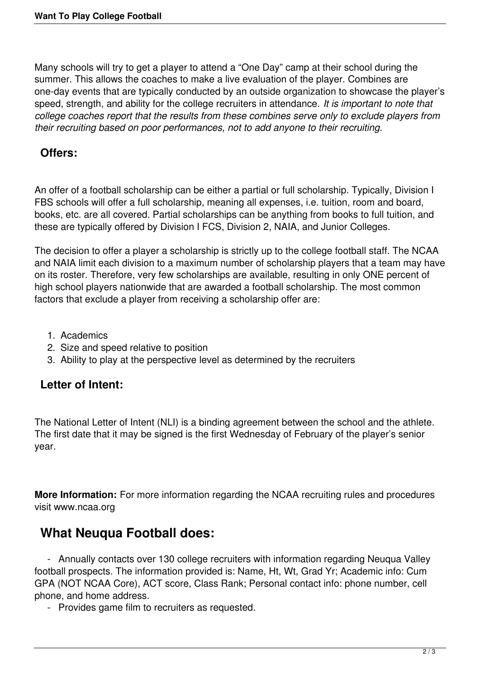Many schools will try to get a player to attend a "One Day" camp at their school during the summer. This allows the coaches to make a live evaluation of the player. Combines are one-day events that are typically conducted by an outside organization to showcase the player's speed, strength, and ability for the college recruiters in attendance. *It is important to note that college coaches report that the results from these combines serve only to exclude players from their recruiting based on poor performances, not to add anyone to their recruiting.*

#### **Offers:**

An offer of a football scholarship can be either a partial or full scholarship. Typically, Division I FBS schools will offer a full scholarship, meaning all expenses, i.e. tuition, room and board, books, etc. are all covered. Partial scholarships can be anything from books to full tuition, and these are typically offered by Division I FCS, Division 2, NAIA, and Junior Colleges.

The decision to offer a player a scholarship is strictly up to the college football staff. The NCAA and NAIA limit each division to a maximum number of scholarship players that a team may have on its roster. Therefore, very few scholarships are available, resulting in only ONE percent of high school players nationwide that are awarded a football scholarship. The most common factors that exclude a player from receiving a scholarship offer are:

- 1. Academics
- 2. Size and speed relative to position
- 3. Ability to play at the perspective level as determined by the recruiters

#### **Letter of Intent:**

The National Letter of Intent (NLI) is a binding agreement between the school and the athlete. The first date that it may be signed is the first Wednesday of February of the player's senior year.

**More Information:** For more information regarding the NCAA recruiting rules and procedures visit www.ncaa.org

## **What Neuqua Football does:**

 - Annually contacts over 130 college recruiters with information regarding Neuqua Valley football prospects. The information provided is: Name, Ht, Wt, Grad Yr; Academic info: Cum GPA (NOT NCAA Core), ACT score, Class Rank; Personal contact info: phone number, cell phone, and home address.

- Provides game film to recruiters as requested.